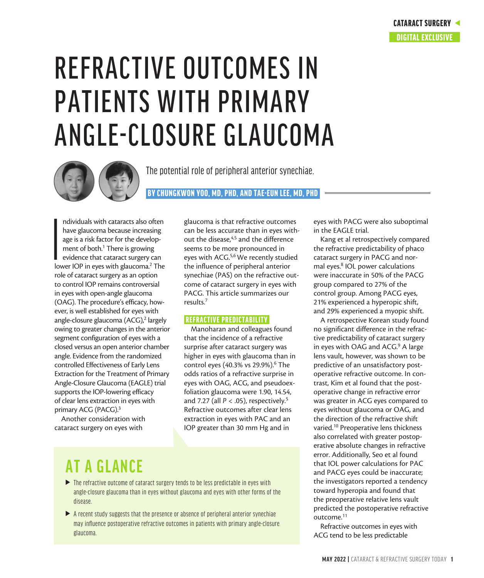# REFRACTIVE OUTCOMES IN PATIENTS WITH PRIMARY ANGLE-CLOSURE GLAUCOMA



The potential role of peripheral anterior synechiae.

BY CHUNGKWON YOO, MD, PHD, AND TAE-EUN LEE, MD, PHD

**I**<br>Iov ndividuals with cataracts also often have glaucoma because increasing age is a risk factor for the development of both.<sup>1</sup> There is growing evidence that cataract surgery can lower IOP in eyes with glaucoma.<sup>2</sup> The role of cataract surgery as an option to control IOP remains controversial in eyes with open-angle glaucoma (OAG). The procedure's efficacy, however, is well established for eyes with angle-closure glaucoma (ACG),<sup>2</sup> largely owing to greater changes in the anterior segment configuration of eyes with a closed versus an open anterior chamber angle. Evidence from the randomized controlled Effectiveness of Early Lens Extraction for the Treatment of Primary Angle-Closure Glaucoma (EAGLE) trial supports the IOP-lowering efficacy of clear lens extraction in eyes with primary ACG (PACG).<sup>3</sup>

Another consideration with cataract surgery on eyes with

glaucoma is that refractive outcomes can be less accurate than in eyes without the disease,<sup>4,5</sup> and the difference seems to be more pronounced in eyes with ACG.5,6 We recently studied the influence of peripheral anterior synechiae (PAS) on the refractive outcome of cataract surgery in eyes with PACG. This article summarizes our results.7

#### REFRACTIVE PREDICTABILITY

Manoharan and colleagues found that the incidence of a refractive surprise after cataract surgery was higher in eyes with glaucoma than in control eyes (40.3% vs 29.9%).<sup>6</sup> The odds ratios of a refractive surprise in eyes with OAG, ACG, and pseudoexfoliation glaucoma were 1.90, 14.54, and 7.27 (all *P* < .05), respectively.5 Refractive outcomes after clear lens extraction in eyes with PAC and an IOP greater than 30 mm Hg and in

# **AT A GLANCE**

- $\blacktriangleright$  The refractive outcome of cataract surgery tends to be less predictable in eyes with angle-closure glaucoma than in eyes without glaucoma and eyes with other forms of the disease.
- $\blacktriangleright$  A recent study suggests that the presence or absence of peripheral anterior synechiae may influence postoperative refractive outcomes in patients with primary angle-closure glaucoma.

eyes with PACG were also suboptimal in the EAGLE trial.

Kang et al retrospectively compared the refractive predictability of phaco cataract surgery in PACG and normal eyes.8 IOL power calculations were inaccurate in 50% of the PACG group compared to 27% of the control group. Among PACG eyes, 21% experienced a hyperopic shift, and 29% experienced a myopic shift.

A retrospective Korean study found no significant difference in the refractive predictability of cataract surgery in eyes with OAG and ACG.<sup>9</sup> A large lens vault, however, was shown to be predictive of an unsatisfactory postoperative refractive outcome. In contrast, Kim et al found that the postoperative change in refractive error was greater in ACG eyes compared to eyes without glaucoma or OAG, and the direction of the refractive shift varied.10 Preoperative lens thickness also correlated with greater postoperative absolute changes in refractive error. Additionally, Seo et al found that IOL power calculations for PAC and PACG eyes could be inaccurate; the investigators reported a tendency toward hyperopia and found that the preoperative relative lens vault predicted the postoperative refractive outcome.11

Refractive outcomes in eyes with ACG tend to be less predictable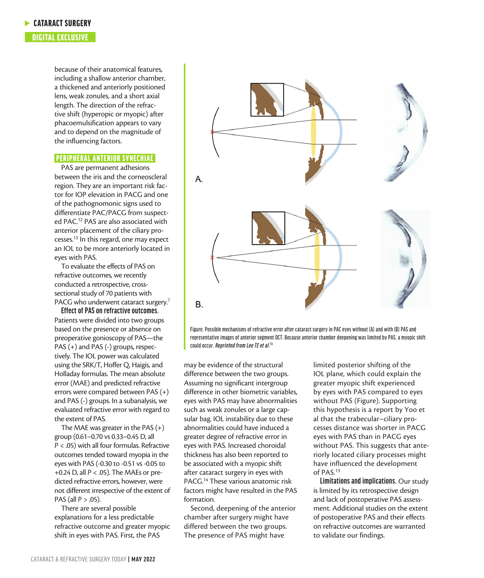#### **CATARACT SURGERY**

### DIGITAL EXCLUSIVE

because of their anatomical features, including a shallow anterior chamber, a thickened and anteriorly positioned lens, weak zonules, and a short axial length. The direction of the refractive shift (hyperopic or myopic) after phacoemulsification appears to vary and to depend on the magnitude of the influencing factors.

#### PERIPHERAL ANTERIOR SYNECHIAE

PAS are permanent adhesions between the iris and the corneoscleral region. They are an important risk factor for IOP elevation in PACG and one of the pathognomonic signs used to differentiate PAC/PACG from suspected PAC.12 PAS are also associated with anterior placement of the ciliary processes.13 In this regard, one may expect an IOL to be more anteriorly located in eyes with PAS.

To evaluate the effects of PAS on refractive outcomes, we recently conducted a retrospective, crosssectional study of 70 patients with PACG who underwent cataract surgery.<sup>7</sup>

**Effect of PAS on refractive outcomes.**  Patients were divided into two groups based on the presence or absence on preoperative gonioscopy of PAS—the PAS (+) and PAS (-) groups, respectively. The IOL power was calculated using the SRK/T, Hoffer Q, Haigis, and Holladay formulas. The mean absolute error (MAE) and predicted refractive errors were compared between PAS (+) and PAS (-) groups. In a subanalysis, we evaluated refractive error with regard to the extent of PAS.

The MAE was greater in the PAS  $(+)$ group (0.61–0.70 vs 0.33–0.45 D, all *P* < .05) with all four formulas. Refractive outcomes tended toward myopia in the eyes with PAS (-0.30 to -0.51 vs -0.05 to +0.24 D, all *P* < .05). The MAEs or predicted refractive errors, however, were not different irrespective of the extent of PAS (all *P* > .05).

There are several possible explanations for a less predictable refractive outcome and greater myopic shift in eyes with PAS. First, the PAS



Figure. Possible mechanisms of refractive error after cataract surgery in PAC eyes without (A) and with (B) PAS and representative images of anterior segment OCT. Because anterior chamber deepening was limited by PAS, a myopic shift could occur. *Reprinted from Lee TE et al*. 13

may be evidence of the structural difference between the two groups. Assuming no significant intergroup difference in other biometric variables, eyes with PAS may have abnormalities such as weak zonules or a large capsular bag. IOL instability due to these abnormalities could have induced a greater degree of refractive error in eyes with PAS. Increased choroidal thickness has also been reported to be associated with a myopic shift after cataract surgery in eyes with PACG.<sup>14</sup> These various anatomic risk factors might have resulted in the PAS formation.

Second, deepening of the anterior chamber after surgery might have differed between the two groups. The presence of PAS might have

limited posterior shifting of the IOL plane, which could explain the greater myopic shift experienced by eyes with PAS compared to eyes without PAS (Figure). Supporting this hypothesis is a report by Yoo et al that the trabecular–ciliary processes distance was shorter in PACG eyes with PAS than in PACG eyes without PAS. This suggests that anteriorly located ciliary processes might have influenced the development of PAS.13

**Limitations and implications.** Our study is limited by its retrospective design and lack of postoperative PAS assessment. Additional studies on the extent of postoperative PAS and their effects on refractive outcomes are warranted to validate our findings.